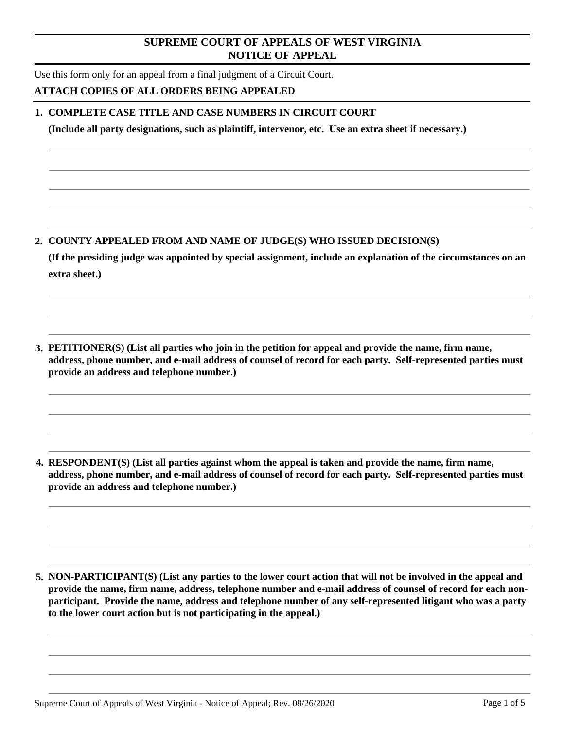# **SUPREME COURT OF APPEALS OF WEST VIRGINIA NOTICE OF APPEAL**

Use this form only for an appeal from a final judgment of a Circuit Court.

# **ATTACH COPIES OF ALL ORDERS BEING APPEALED**

# **1. COMPLETE CASE TITLE AND CASE NUMBERS IN CIRCUIT COURT**

**(Include all party designations, such as plaintiff, intervenor, etc. Use an extra sheet if necessary.)**

**2. COUNTY APPEALED FROM AND NAME OF JUDGE(S) WHO ISSUED DECISION(S)** 

**(If the presiding judge was appointed by special assignment, include an explanation of the circumstances on an extra sheet.)**

**3. PETITIONER(S) (List all parties who join in the petition for appeal and provide the name, firm name, address, phone number, and e-mail address of counsel of record for each party. Self-represented parties must provide an address and telephone number.)**

**4. RESPONDENT(S) (List all parties against whom the appeal is taken and provide the name, firm name, address, phone number, and e-mail address of counsel of record for each party. Self-represented parties must provide an address and telephone number.)**

**5. NON-PARTICIPANT(S) (List any parties to the lower court action that will not be involved in the appeal and provide the name, firm name, address, telephone number and e-mail address of counsel of record for each nonparticipant. Provide the name, address and telephone number of any self-represented litigant who was a party to the lower court action but is not participating in the appeal.)**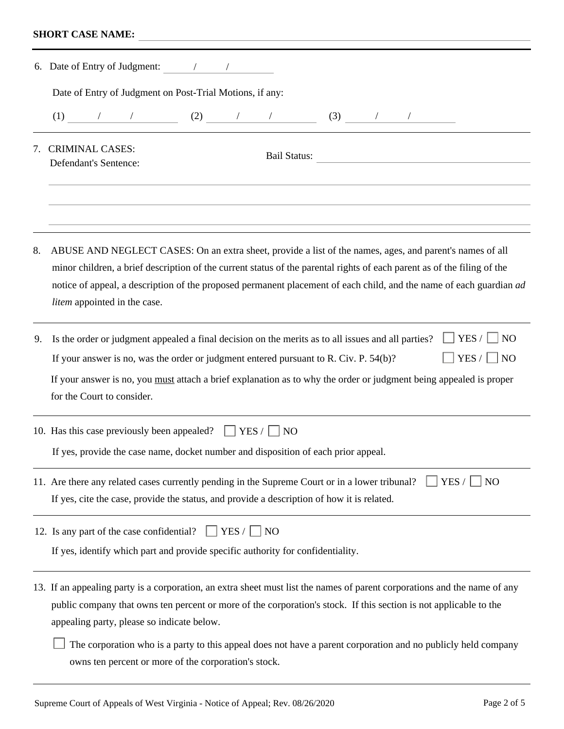# **SHORT CASE NAME:**

|    | 6. Date of Entry of Judgment:                                                                                                                                                                                                                                                                                                                                                                 |  |  |  |  |  |
|----|-----------------------------------------------------------------------------------------------------------------------------------------------------------------------------------------------------------------------------------------------------------------------------------------------------------------------------------------------------------------------------------------------|--|--|--|--|--|
|    | Date of Entry of Judgment on Post-Trial Motions, if any:                                                                                                                                                                                                                                                                                                                                      |  |  |  |  |  |
|    | (1) $1 \t (2)$ (2) $1 \t (3)$ (3) $1 \t (4)$                                                                                                                                                                                                                                                                                                                                                  |  |  |  |  |  |
|    | 7. CRIMINAL CASES:<br><b>Bail Status:</b><br><b>Defendant's Sentence:</b>                                                                                                                                                                                                                                                                                                                     |  |  |  |  |  |
| 8. | ABUSE AND NEGLECT CASES: On an extra sheet, provide a list of the names, ages, and parent's names of all<br>minor children, a brief description of the current status of the parental rights of each parent as of the filing of the<br>notice of appeal, a description of the proposed permanent placement of each child, and the name of each guardian ad<br>litem appointed in the case.    |  |  |  |  |  |
| 9. | YES /<br>$\overline{N}$<br>Is the order or judgment appealed a final decision on the merits as to all issues and all parties?<br>$YES / \Box NO$<br>If your answer is no, was the order or judgment entered pursuant to R. Civ. P. 54(b)?<br>If your answer is no, you must attach a brief explanation as to why the order or judgment being appealed is proper<br>for the Court to consider. |  |  |  |  |  |
|    | 10. Has this case previously been appealed? $\Box$ YES / $\Box$ NO<br>If yes, provide the case name, docket number and disposition of each prior appeal.                                                                                                                                                                                                                                      |  |  |  |  |  |
|    | YES /<br>11. Are there any related cases currently pending in the Supreme Court or in a lower tribunal?<br><b>NO</b><br>If yes, cite the case, provide the status, and provide a description of how it is related.                                                                                                                                                                            |  |  |  |  |  |
|    | 12. Is any part of the case confidential?<br>YES /<br><b>NO</b><br>If yes, identify which part and provide specific authority for confidentiality.                                                                                                                                                                                                                                            |  |  |  |  |  |
|    | 13. If an appealing party is a corporation, an extra sheet must list the names of parent corporations and the name of any<br>public company that owns ten percent or more of the corporation's stock. If this section is not applicable to the<br>appealing party, please so indicate below.                                                                                                  |  |  |  |  |  |
|    | The corporation who is a party to this appeal does not have a parent corporation and no publicly held company                                                                                                                                                                                                                                                                                 |  |  |  |  |  |

owns ten percent or more of the corporation's stock.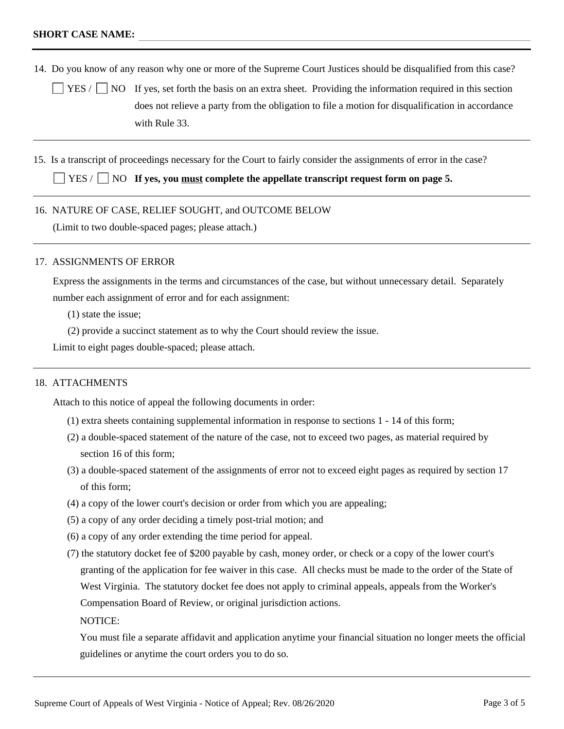14. Do you know of any reason why one or more of the Supreme Court Justices should be disqualified from this case?

 $YES / \Box$  NO If yes, set forth the basis on an extra sheet. Providing the information required in this section does not relieve a party from the obligation to file a motion for disqualification in accordance with Rule 33.

15. Is a transcript of proceedings necessary for the Court to fairly consider the assignments of error in the case?

YES /  $\Box$  NO **If yes, you <u>must</u> complete the appellate transcript request form on page 5.** 

16. NATURE OF CASE, RELIEF SOUGHT, and OUTCOME BELOW

(Limit to two double-spaced pages; please attach.)

#### 17. ASSIGNMENTS OF ERROR

Express the assignments in the terms and circumstances of the case, but without unnecessary detail. Separately number each assignment of error and for each assignment:

- (1) state the issue;
- (2) provide a succinct statement as to why the Court should review the issue.

Limit to eight pages double-spaced; please attach.

## 18. ATTACHMENTS

Attach to this notice of appeal the following documents in order:

- (1) extra sheets containing supplemental information in response to sections 1 14 of this form;
- (2) a double-spaced statement of the nature of the case, not to exceed two pages, as material required by section 16 of this form;
- (3) a double-spaced statement of the assignments of error not to exceed eight pages as required by section 17 of this form;
- (4) a copy of the lower court's decision or order from which you are appealing;
- (5) a copy of any order deciding a timely post-trial motion; and
- (6) a copy of any order extending the time period for appeal.
- (7) the statutory docket fee of \$200 payable by cash, money order, or check or a copy of the lower court's granting of the application for fee waiver in this case. All checks must be made to the order of the State of West Virginia. The statutory docket fee does not apply to criminal appeals, appeals from the Worker's Compensation Board of Review, or original jurisdiction actions.

NOTICE:

You must file a separate affidavit and application anytime your financial situation no longer meets the official guidelines or anytime the court orders you to do so.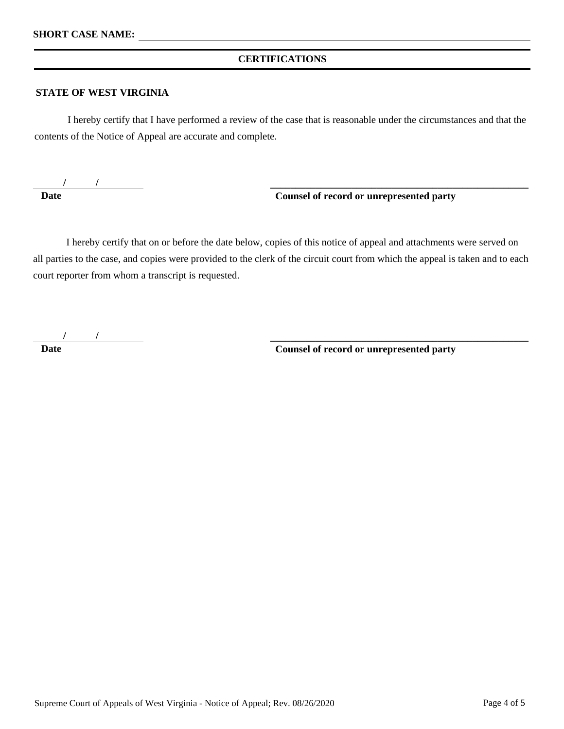## **CERTIFICATIONS**

#### **STATE OF WEST VIRGINIA**

I hereby certify that I have performed a review of the case that is reasonable under the circumstances and that the contents of the Notice of Appeal are accurate and complete.

**/ / Date**

## **Counsel of record or unrepresented party**

**\_\_\_\_\_\_\_\_\_\_\_\_\_\_\_\_\_\_\_\_\_\_\_\_\_\_\_\_\_\_\_\_\_\_\_\_\_\_\_\_\_\_\_\_\_\_\_\_\_\_\_** 

**\_\_\_\_\_\_\_\_\_\_\_\_\_\_\_\_\_\_\_\_\_\_\_\_\_\_\_\_\_\_\_\_\_\_\_\_\_\_\_\_\_\_\_\_\_\_\_\_\_\_\_** 

I hereby certify that on or before the date below, copies of this notice of appeal and attachments were served on all parties to the case, and copies were provided to the clerk of the circuit court from which the appeal is taken and to each court reporter from whom a transcript is requested.

**/ / Date**

 **Counsel of record or unrepresented party**